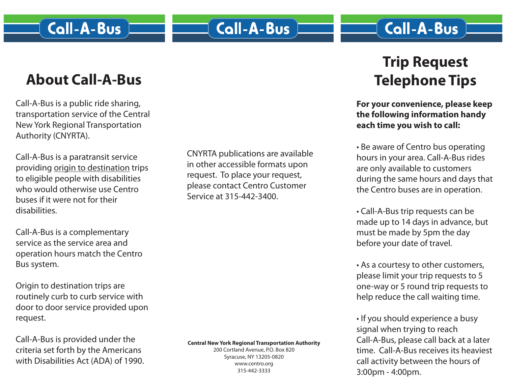## **Call-A-Bus**

## **About Call-A-Bus**

Call-A-Bus is a public ride sharing, transportation service of the Central New York Regional Transportation Authority (CNYRTA).

Call-A-Bus is a paratransit service providing origin to destination trips to eligible people with disabilities who would otherwise use Centro buses if it were not for their disabilities.

Call-A-Bus is a complementary service as the service area and operation hours match the Centro Bus system.

Origin to destination trips are routinely curb to curb service with door to door service provided upon request.

Call-A-Bus is provided under the criteria set forth by the Americans with Disabilities Act (ADA) of 1990. CNYRTA publications are available in other accessible formats upon request. To place your request, please contact Centro Customer Service at 315-442-3400.

**Central New York Regional Transportation Authority** 200 Cortland Avenue, P.O. Box 820 Syracuse, NY 13205-0820 www.centro.org

315-442-3333

# **Trip Request Telephone Tips**

**For your convenience, please keep the following information handy each time you wish to call:**

• Be aware of Centro bus operating hours in your area. Call-A-Bus rides are only available to customers during the same hours and days that the Centro buses are in operation.

• Call-A-Bus trip requests can be made up to 14 days in advance, but must be made by 5pm the day before your date of travel.

• As a courtesy to other customers, please limit your trip requests to 5 one-way or 5 round trip requests to help reduce the call waiting time.

• If you should experience a busy signal when trying to reach Call-A-Bus, please call back at a later time. Call-A-Bus receives its heaviest call activity between the hours of 3:00pm - 4:00pm.